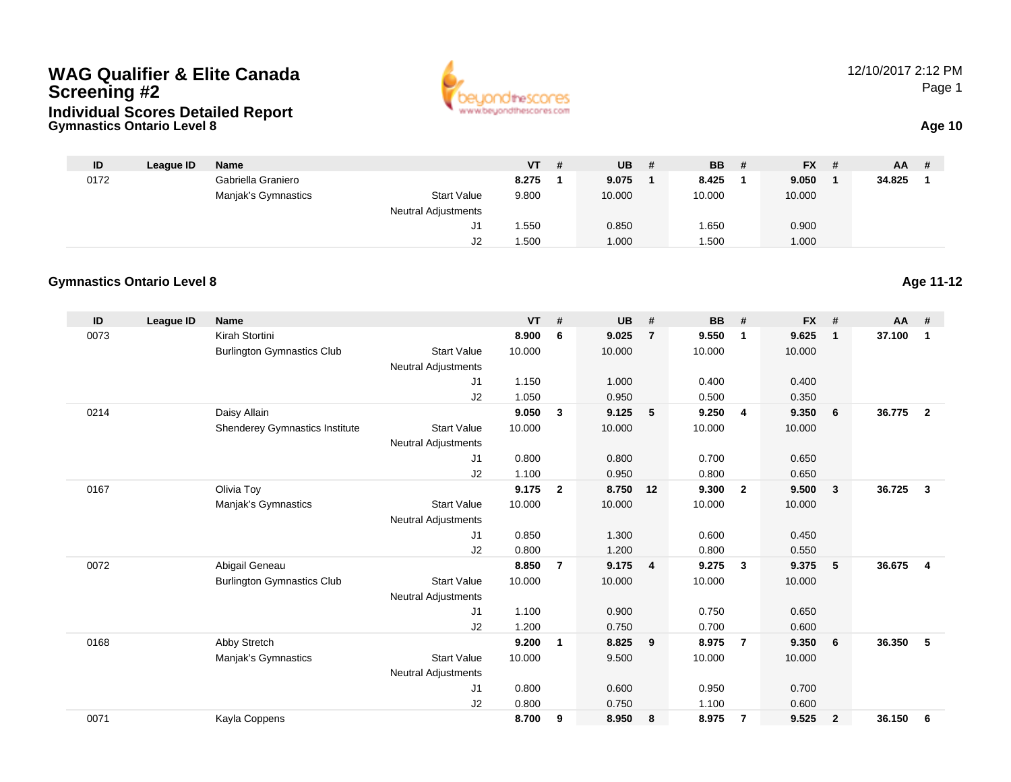### **Gymnastics Ontario Level 8 Age 10 WAG Qualifier & Elite CanadaScreening #2Individual Scores Detailed Report**



12/10/2017 2:12 PMPage 1

| ID   | League ID | Name                |                            | <b>VT</b> | # | <b>UB</b> | <b>BB</b> | - # | $FX$ # | <b>AA</b> | -# |
|------|-----------|---------------------|----------------------------|-----------|---|-----------|-----------|-----|--------|-----------|----|
| 0172 |           | Gabriella Graniero  |                            | 8.275     |   | 9.075     | 8.425     |     | 9.050  | 34.825    |    |
|      |           | Manjak's Gymnastics | <b>Start Value</b>         | 9.800     |   | 10.000    | 10.000    |     | 10.000 |           |    |
|      |           |                     | <b>Neutral Adjustments</b> |           |   |           |           |     |        |           |    |
|      |           |                     |                            | .550      |   | 0.850     | .650      |     | 0.900  |           |    |
|      |           |                     | J2                         | 1.500     |   | 1.000     | .500      |     | 1.000  |           |    |

#### **Gymnastics Ontario Level 8Age 11-12**

| ID   | League ID | <b>Name</b>                       |                            | <b>VT</b> | #              | <b>UB</b> | #              | <b>BB</b> | #                       | <b>FX</b> | #            | $AA$ # |                |
|------|-----------|-----------------------------------|----------------------------|-----------|----------------|-----------|----------------|-----------|-------------------------|-----------|--------------|--------|----------------|
| 0073 |           | Kirah Stortini                    |                            | 8.900     | 6              | 9.025     | $\overline{7}$ | 9.550     | $\mathbf 1$             | 9.625     | $\mathbf 1$  | 37.100 | $\mathbf 1$    |
|      |           | <b>Burlington Gymnastics Club</b> | <b>Start Value</b>         | 10.000    |                | 10.000    |                | 10.000    |                         | 10.000    |              |        |                |
|      |           |                                   | <b>Neutral Adjustments</b> |           |                |           |                |           |                         |           |              |        |                |
|      |           |                                   | J1                         | 1.150     |                | 1.000     |                | 0.400     |                         | 0.400     |              |        |                |
|      |           |                                   | J2                         | 1.050     |                | 0.950     |                | 0.500     |                         | 0.350     |              |        |                |
| 0214 |           | Daisy Allain                      |                            | 9.050     | $\mathbf{3}$   | 9.125     | 5              | 9.250     | $\overline{\mathbf{4}}$ | 9.350     | 6            | 36.775 | $\overline{2}$ |
|      |           | Shenderey Gymnastics Institute    | <b>Start Value</b>         | 10.000    |                | 10.000    |                | 10.000    |                         | 10.000    |              |        |                |
|      |           |                                   | <b>Neutral Adjustments</b> |           |                |           |                |           |                         |           |              |        |                |
|      |           |                                   | J <sub>1</sub>             | 0.800     |                | 0.800     |                | 0.700     |                         | 0.650     |              |        |                |
|      |           |                                   | J2                         | 1.100     |                | 0.950     |                | 0.800     |                         | 0.650     |              |        |                |
| 0167 |           | Olivia Toy                        |                            | 9.175     | $\mathbf{2}$   | 8.750     | 12             | 9.300     | $\overline{2}$          | 9.500     | 3            | 36.725 | $\mathbf{3}$   |
|      |           | Manjak's Gymnastics               | <b>Start Value</b>         | 10.000    |                | 10.000    |                | 10.000    |                         | 10.000    |              |        |                |
|      |           |                                   | <b>Neutral Adjustments</b> |           |                |           |                |           |                         |           |              |        |                |
|      |           |                                   | J <sub>1</sub>             | 0.850     |                | 1.300     |                | 0.600     |                         | 0.450     |              |        |                |
|      |           |                                   | J2                         | 0.800     |                | 1.200     |                | 0.800     |                         | 0.550     |              |        |                |
| 0072 |           | Abigail Geneau                    |                            | 8.850     | $\overline{7}$ | 9.175     | $\overline{4}$ | 9.275     | $\mathbf{3}$            | 9.375     | 5            | 36.675 | $\overline{4}$ |
|      |           | <b>Burlington Gymnastics Club</b> | <b>Start Value</b>         | 10.000    |                | 10.000    |                | 10.000    |                         | 10.000    |              |        |                |
|      |           |                                   | <b>Neutral Adjustments</b> |           |                |           |                |           |                         |           |              |        |                |
|      |           |                                   | J1                         | 1.100     |                | 0.900     |                | 0.750     |                         | 0.650     |              |        |                |
|      |           |                                   | J2                         | 1.200     |                | 0.750     |                | 0.700     |                         | 0.600     |              |        |                |
| 0168 |           | Abby Stretch                      |                            | 9.200     | $\mathbf{1}$   | 8.825     | 9              | 8.975     | $\overline{7}$          | 9.350     | 6            | 36.350 | 5              |
|      |           | Manjak's Gymnastics               | <b>Start Value</b>         | 10.000    |                | 9.500     |                | 10.000    |                         | 10.000    |              |        |                |
|      |           |                                   | <b>Neutral Adjustments</b> |           |                |           |                |           |                         |           |              |        |                |
|      |           |                                   | J1                         | 0.800     |                | 0.600     |                | 0.950     |                         | 0.700     |              |        |                |
|      |           |                                   | J2                         | 0.800     |                | 0.750     |                | 1.100     |                         | 0.600     |              |        |                |
| 0071 |           | Kayla Coppens                     |                            | 8.700     | 9              | 8.950     | 8              | 8.975     | $\overline{7}$          | 9.525     | $\mathbf{2}$ | 36.150 | 6              |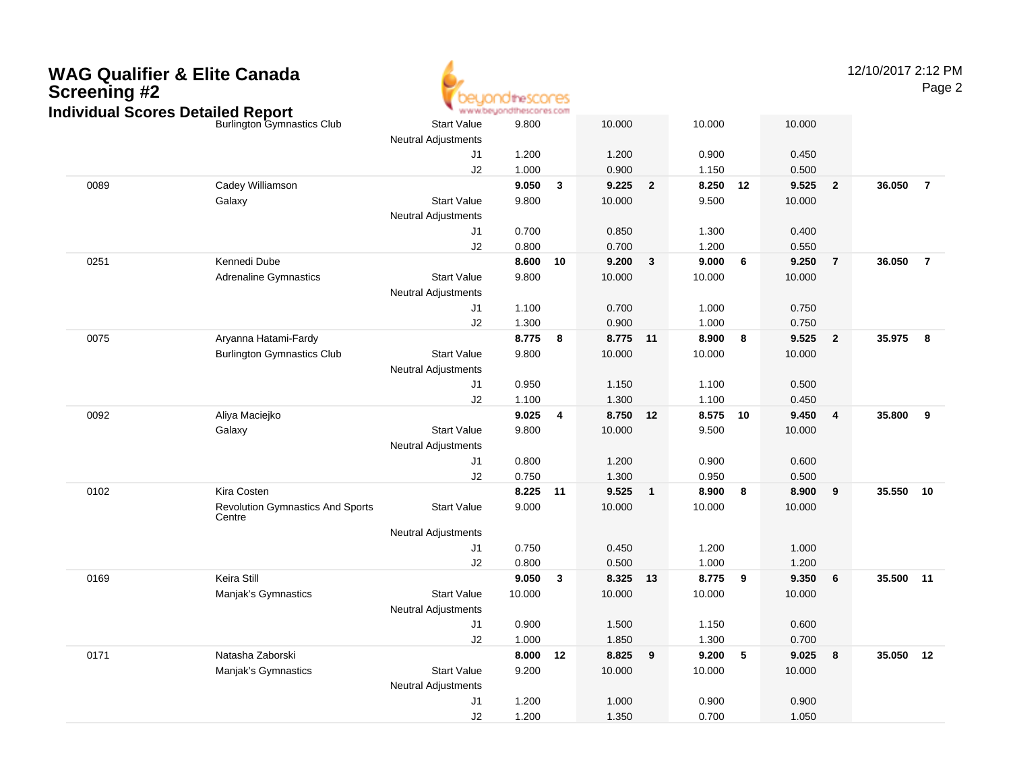

12/10/2017 2:12 PMPage 2

| halvidual Scores Detalled Report |                                                   |                                                  | www.oe/tougher.com |    |          |                |          |        |        |                         |           |                |
|----------------------------------|---------------------------------------------------|--------------------------------------------------|--------------------|----|----------|----------------|----------|--------|--------|-------------------------|-----------|----------------|
|                                  | <b>Burlington Gymnastics Club</b>                 | <b>Start Value</b><br><b>Neutral Adjustments</b> | 9.800              |    | 10.000   |                | 10.000   |        | 10.000 |                         |           |                |
|                                  |                                                   | J1                                               | 1.200              |    | 1.200    |                | 0.900    |        | 0.450  |                         |           |                |
|                                  |                                                   | J2                                               | 1.000              |    | 0.900    |                | 1.150    |        | 0.500  |                         |           |                |
| 0089                             | Cadey Williamson                                  |                                                  | 9.050              | 3  | 9.225    | $\overline{2}$ | 8.250    | 12     | 9.525  | $\overline{2}$          | 36.050    | $\overline{7}$ |
|                                  | Galaxy                                            | <b>Start Value</b>                               | 9.800              |    | 10.000   |                | 9.500    |        | 10.000 |                         |           |                |
|                                  |                                                   | <b>Neutral Adjustments</b>                       |                    |    |          |                |          |        |        |                         |           |                |
|                                  |                                                   | J1                                               | 0.700              |    | 0.850    |                | 1.300    |        | 0.400  |                         |           |                |
|                                  |                                                   | J2                                               | 0.800              |    | 0.700    |                | 1.200    |        | 0.550  |                         |           |                |
| 0251                             | Kennedi Dube                                      |                                                  | 8.600              | 10 | 9.200    | $\mathbf{3}$   | 9.000    | 6      | 9.250  | $\overline{7}$          | 36.050    | $\overline{7}$ |
|                                  | <b>Adrenaline Gymnastics</b>                      | <b>Start Value</b>                               | 9.800              |    | 10.000   |                | 10.000   |        | 10.000 |                         |           |                |
|                                  |                                                   | <b>Neutral Adjustments</b>                       |                    |    |          |                |          |        |        |                         |           |                |
|                                  |                                                   | J1                                               | 1.100              |    | 0.700    |                | 1.000    |        | 0.750  |                         |           |                |
|                                  |                                                   | J2                                               | 1.300              |    | 0.900    |                | 1.000    |        | 0.750  |                         |           |                |
| 0075                             | Aryanna Hatami-Fardy                              |                                                  | 8.775              | 8  | 8.775 11 |                | 8.900    | 8      | 9.525  | $\overline{\mathbf{2}}$ | 35.975    | - 8            |
|                                  | <b>Burlington Gymnastics Club</b>                 | <b>Start Value</b>                               | 9.800              |    | 10.000   |                | 10.000   |        | 10.000 |                         |           |                |
|                                  |                                                   | <b>Neutral Adjustments</b>                       |                    |    |          |                |          |        |        |                         |           |                |
|                                  |                                                   | J1                                               | 0.950              |    | 1.150    |                | 1.100    |        | 0.500  |                         |           |                |
|                                  |                                                   | J2                                               | 1.100              |    | 1.300    |                | 1.100    |        | 0.450  |                         |           |                |
| 0092                             | Aliya Maciejko                                    |                                                  | 9.025              | 4  | 8.750    | 12             | 8.575 10 |        | 9.450  | $\overline{4}$          | 35.800    | 9              |
|                                  | Galaxy                                            | <b>Start Value</b>                               | 9.800              |    | 10.000   |                | 9.500    |        | 10.000 |                         |           |                |
|                                  |                                                   | <b>Neutral Adjustments</b>                       |                    |    |          |                |          |        |        |                         |           |                |
|                                  |                                                   | J1                                               | 0.800              |    | 1.200    |                | 0.900    |        | 0.600  |                         |           |                |
|                                  |                                                   | J2                                               | 0.750              |    | 1.300    |                | 0.950    |        | 0.500  |                         |           |                |
| 0102                             | Kira Costen                                       |                                                  | 8.225              | 11 | 9.525    | $\mathbf{1}$   | 8.900    | 8      | 8.900  | $\overline{\mathbf{9}}$ | 35.550    | 10             |
|                                  | <b>Revolution Gymnastics And Sports</b><br>Centre | <b>Start Value</b>                               | 9.000              |    | 10.000   |                | 10.000   |        | 10.000 |                         |           |                |
|                                  |                                                   | <b>Neutral Adjustments</b>                       |                    |    |          |                |          |        |        |                         |           |                |
|                                  |                                                   | J1                                               | 0.750              |    | 0.450    |                | 1.200    |        | 1.000  |                         |           |                |
|                                  |                                                   | J2                                               | 0.800              |    | 0.500    |                | 1.000    |        | 1.200  |                         |           |                |
| 0169                             | Keira Still                                       |                                                  | 9.050              | 3  | 8.325 13 |                | 8.775    | $_{9}$ | 9.350  | 6                       | 35.500 11 |                |
|                                  | Manjak's Gymnastics                               | <b>Start Value</b>                               | 10.000             |    | 10.000   |                | 10.000   |        | 10.000 |                         |           |                |
|                                  |                                                   | <b>Neutral Adjustments</b>                       |                    |    |          |                |          |        |        |                         |           |                |
|                                  |                                                   | J1                                               | 0.900              |    | 1.500    |                | 1.150    |        | 0.600  |                         |           |                |
|                                  |                                                   | J2                                               | 1.000              |    | 1.850    |                | 1.300    |        | 0.700  |                         |           |                |
| 0171                             | Natasha Zaborski                                  |                                                  | 8.000              | 12 | 8.825    | 9              | 9.200    | 5      | 9.025  | 8                       | 35.050 12 |                |
|                                  | Manjak's Gymnastics                               | <b>Start Value</b>                               | 9.200              |    | 10.000   |                | 10.000   |        | 10.000 |                         |           |                |
|                                  |                                                   | <b>Neutral Adjustments</b>                       |                    |    |          |                |          |        |        |                         |           |                |
|                                  |                                                   | J <sub>1</sub>                                   | 1.200              |    | 1.000    |                | 0.900    |        | 0.900  |                         |           |                |
|                                  |                                                   | J2                                               | 1.200              |    | 1.350    |                | 0.700    |        | 1.050  |                         |           |                |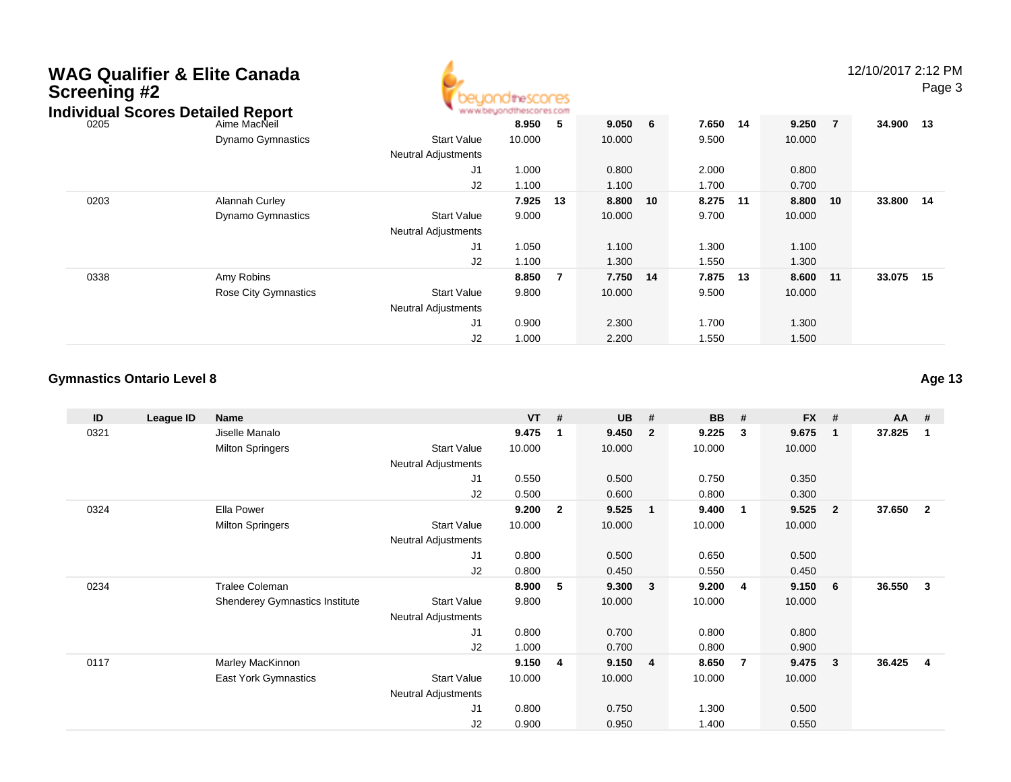| <b>Screening #2</b> | <b>WAG Qualifier &amp; Elite Canada</b><br><b>Individual Scores Detailed Report</b> |                                                  | heSCOCES |                |        |    |       |      |        |                | 12/10/2017 2:12 PM | Page 3 |
|---------------------|-------------------------------------------------------------------------------------|--------------------------------------------------|----------|----------------|--------|----|-------|------|--------|----------------|--------------------|--------|
| 0205                | Aime MacNeil                                                                        |                                                  | 8.950    | $-5$           | 9.050  | 6  | 7.650 | - 14 | 9.250  | $\overline{7}$ | 34.900 13          |        |
|                     | <b>Dynamo Gymnastics</b>                                                            | <b>Start Value</b><br><b>Neutral Adjustments</b> | 10.000   |                | 10.000 |    | 9.500 |      | 10.000 |                |                    |        |
|                     |                                                                                     | J1                                               | 1.000    |                | 0.800  |    | 2.000 |      | 0.800  |                |                    |        |
|                     |                                                                                     | J2                                               | 1.100    |                | 1.100  |    | 1.700 |      | 0.700  |                |                    |        |
| 0203                | Alannah Curley                                                                      |                                                  | 7.925    | 13             | 8.800  | 10 | 8.275 | 11   | 8.800  | 10             | 33.800             | 14     |
|                     | <b>Dynamo Gymnastics</b>                                                            | <b>Start Value</b><br><b>Neutral Adjustments</b> | 9.000    |                | 10.000 |    | 9.700 |      | 10.000 |                |                    |        |
|                     |                                                                                     | J1                                               | 1.050    |                | 1.100  |    | 1.300 |      | 1.100  |                |                    |        |
|                     |                                                                                     | J2                                               | 1.100    |                | 1.300  |    | 1.550 |      | 1.300  |                |                    |        |
| 0338                | Amy Robins                                                                          |                                                  | 8.850    | $\overline{7}$ | 7.750  | 14 | 7.875 | 13   | 8.600  | 11             | 33.075             | 15     |
|                     | Rose City Gymnastics                                                                | <b>Start Value</b><br><b>Neutral Adjustments</b> | 9.800    |                | 10.000 |    | 9.500 |      | 10.000 |                |                    |        |
|                     |                                                                                     | J1                                               | 0.900    |                | 2.300  |    | 1.700 |      | 1.300  |                |                    |        |
|                     |                                                                                     | J2                                               | 1.000    |                | 2.200  |    | 1.550 |      | 1.500  |                |                    |        |

A

#### **Gymnastics Ontario Level 8Age 13**

**ID League ID Name VT # UB # BB # FX # AA #** 0321 Jiselle Manalo **9.475 <sup>1</sup> 9.450 <sup>2</sup> 9.225 <sup>3</sup> 9.675 <sup>1</sup> 37.825 <sup>1</sup>** Milton Springers Start Valuee 10.000 10.000 10.000 10.000 Neutral Adjustments J1 0.550 0.500 0.750 0.350 J2 0.500 0.600 0.800 0.300 0324 Ella Power **9.200 <sup>2</sup> 9.525 <sup>1</sup> 9.400 <sup>1</sup> 9.525 <sup>2</sup> 37.650 <sup>2</sup>** Milton Springers Start Valuee 10.000 10.000 10.000 10.000 Neutral Adjustments J1 0.800 0.500 0.650 0.500 J2 0.800 0.450 0.550 0.450 0234 Tralee Coleman **8.900 <sup>5</sup> 9.300 <sup>3</sup> 9.200 <sup>4</sup> 9.150 <sup>6</sup> 36.550 <sup>3</sup>** Shenderey Gymnastics Institute Start Value 9.800 10.000 10.000 10.000 Neutral Adjustments J1 0.800 0.700 0.800 0.800 J2 1.000 0.700 0.800 0.900 0117 Marley MacKinnon **9.150 <sup>4</sup> 9.150 <sup>4</sup> 8.650 <sup>7</sup> 9.475 <sup>3</sup> 36.425 <sup>4</sup>** East York Gymnastics Start Valuee 10.000 10.000 10.000 10.000 Neutral Adjustments J1 0.800 0.750 1.300 0.500 J20.900 0.950 1.400 0.550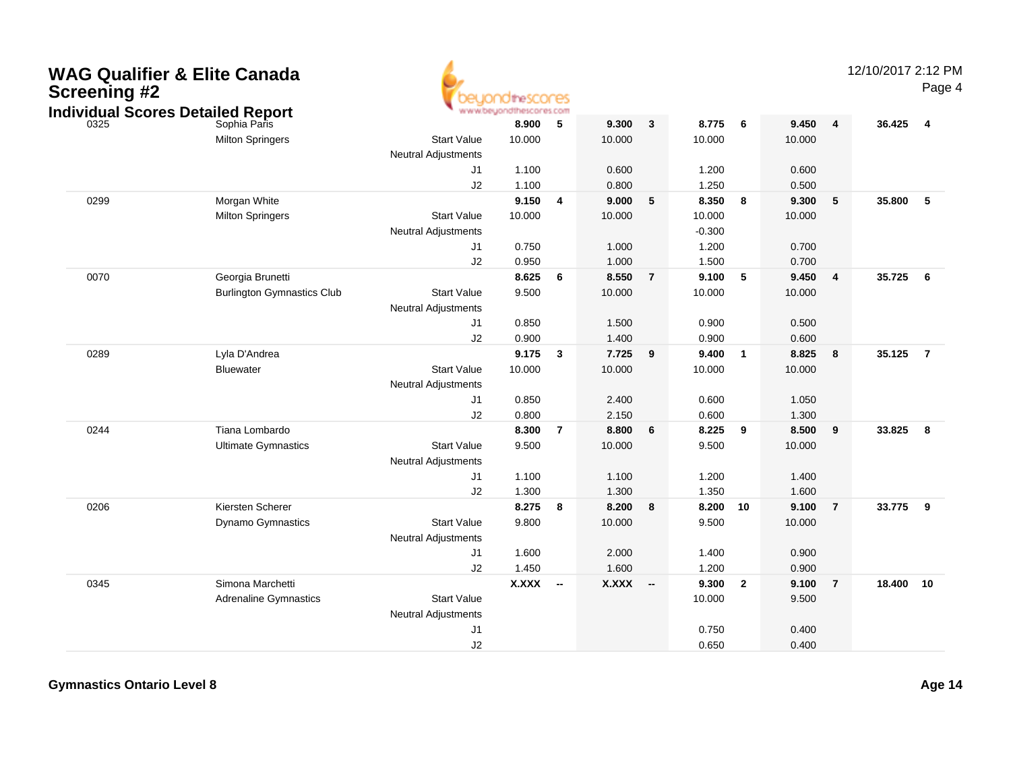| <b>Screening #2</b> | <b>WAG Qualifier &amp; Elite Canada</b><br><b>Individual Scores Detailed Report</b> | www.beyondt                                      | <b>JiheSCOFES</b> |                         |        |                          |          |                |        |                | 12/10/2017 2:12 PM | Page 4         |
|---------------------|-------------------------------------------------------------------------------------|--------------------------------------------------|-------------------|-------------------------|--------|--------------------------|----------|----------------|--------|----------------|--------------------|----------------|
| 0325                | Sophia Paris                                                                        |                                                  | 8.900             | 5                       | 9.300  | $\mathbf{3}$             | 8.775    | 6              | 9.450  | $\overline{4}$ | 36.425             | $\overline{4}$ |
|                     | <b>Milton Springers</b>                                                             | <b>Start Value</b>                               | 10.000            |                         | 10.000 |                          | 10.000   |                | 10.000 |                |                    |                |
|                     |                                                                                     | <b>Neutral Adjustments</b>                       |                   |                         |        |                          |          |                |        |                |                    |                |
|                     |                                                                                     | J1                                               | 1.100             |                         | 0.600  |                          | 1.200    |                | 0.600  |                |                    |                |
|                     |                                                                                     | J2                                               | 1.100             |                         | 0.800  |                          | 1.250    |                | 0.500  |                |                    |                |
| 0299                | Morgan White                                                                        |                                                  | 9.150             | $\overline{\mathbf{4}}$ | 9.000  | 5                        | 8.350    | 8              | 9.300  | 5              | 35.800             | 5              |
|                     | <b>Milton Springers</b>                                                             | <b>Start Value</b>                               | 10.000            |                         | 10.000 |                          | 10.000   |                | 10.000 |                |                    |                |
|                     |                                                                                     | Neutral Adjustments                              |                   |                         |        |                          | $-0.300$ |                |        |                |                    |                |
|                     |                                                                                     | J1                                               | 0.750             |                         | 1.000  |                          | 1.200    |                | 0.700  |                |                    |                |
|                     |                                                                                     | J2                                               | 0.950             |                         | 1.000  |                          | 1.500    |                | 0.700  |                |                    |                |
| 0070                | Georgia Brunetti                                                                    |                                                  | 8.625             | 6                       | 8.550  | $\overline{7}$           | 9.100    | 5              | 9.450  | 4              | 35.725             | 6              |
|                     | <b>Burlington Gymnastics Club</b>                                                   | <b>Start Value</b>                               | 9.500             |                         | 10.000 |                          | 10.000   |                | 10.000 |                |                    |                |
|                     |                                                                                     | <b>Neutral Adjustments</b>                       |                   |                         |        |                          |          |                |        |                |                    |                |
|                     |                                                                                     | J1                                               | 0.850             |                         | 1.500  |                          | 0.900    |                | 0.500  |                |                    |                |
|                     |                                                                                     | J2                                               | 0.900             |                         | 1.400  |                          | 0.900    |                | 0.600  |                |                    |                |
| 0289                | Lyla D'Andrea                                                                       |                                                  | 9.175             | $\overline{\mathbf{3}}$ | 7.725  | 9                        | 9.400    | $\overline{1}$ | 8.825  | 8              | 35.125             | $\overline{7}$ |
|                     | <b>Bluewater</b>                                                                    | <b>Start Value</b>                               | 10.000            |                         | 10.000 |                          | 10.000   |                | 10.000 |                |                    |                |
|                     |                                                                                     | <b>Neutral Adjustments</b>                       |                   |                         |        |                          |          |                |        |                |                    |                |
|                     |                                                                                     | J1                                               | 0.850             |                         | 2.400  |                          | 0.600    |                | 1.050  |                |                    |                |
|                     |                                                                                     | J2                                               | 0.800             |                         | 2.150  |                          | 0.600    |                | 1.300  |                |                    |                |
| 0244                | Tiana Lombardo                                                                      |                                                  | 8.300             | $\overline{7}$          | 8.800  | 6                        | 8.225    | - 9            | 8.500  | 9              | 33.825             | - 8            |
|                     | <b>Ultimate Gymnastics</b>                                                          | <b>Start Value</b><br><b>Neutral Adjustments</b> | 9.500             |                         | 10.000 |                          | 9.500    |                | 10.000 |                |                    |                |
|                     |                                                                                     | J1                                               | 1.100             |                         | 1.100  |                          | 1.200    |                | 1.400  |                |                    |                |
|                     |                                                                                     | J2                                               | 1.300             |                         | 1.300  |                          | 1.350    |                | 1.600  |                |                    |                |
| 0206                | Kiersten Scherer                                                                    |                                                  | 8.275             | $\overline{\mathbf{8}}$ | 8.200  | 8                        | 8.200    | 10             | 9.100  | $\overline{7}$ | 33.775             | - 9            |
|                     | <b>Dynamo Gymnastics</b>                                                            | <b>Start Value</b><br><b>Neutral Adjustments</b> | 9.800             |                         | 10.000 |                          | 9.500    |                | 10.000 |                |                    |                |
|                     |                                                                                     | J1                                               | 1.600             |                         | 2.000  |                          | 1.400    |                | 0.900  |                |                    |                |
|                     |                                                                                     | J2                                               | 1.450             |                         | 1.600  |                          | 1.200    |                | 0.900  |                |                    |                |
| 0345                | Simona Marchetti                                                                    |                                                  | <b>X.XXX</b>      | $\sim$                  | X.XXX  | $\overline{\phantom{a}}$ | 9.300    | $\overline{2}$ | 9.100  | $\overline{7}$ | 18.400             | 10             |
|                     | <b>Adrenaline Gymnastics</b>                                                        | <b>Start Value</b>                               |                   |                         |        |                          | 10.000   |                | 9.500  |                |                    |                |
|                     |                                                                                     | <b>Neutral Adjustments</b>                       |                   |                         |        |                          |          |                |        |                |                    |                |
|                     |                                                                                     | J1                                               |                   |                         |        |                          | 0.750    |                | 0.400  |                |                    |                |
|                     |                                                                                     | J2                                               |                   |                         |        |                          | 0.650    |                | 0.400  |                |                    |                |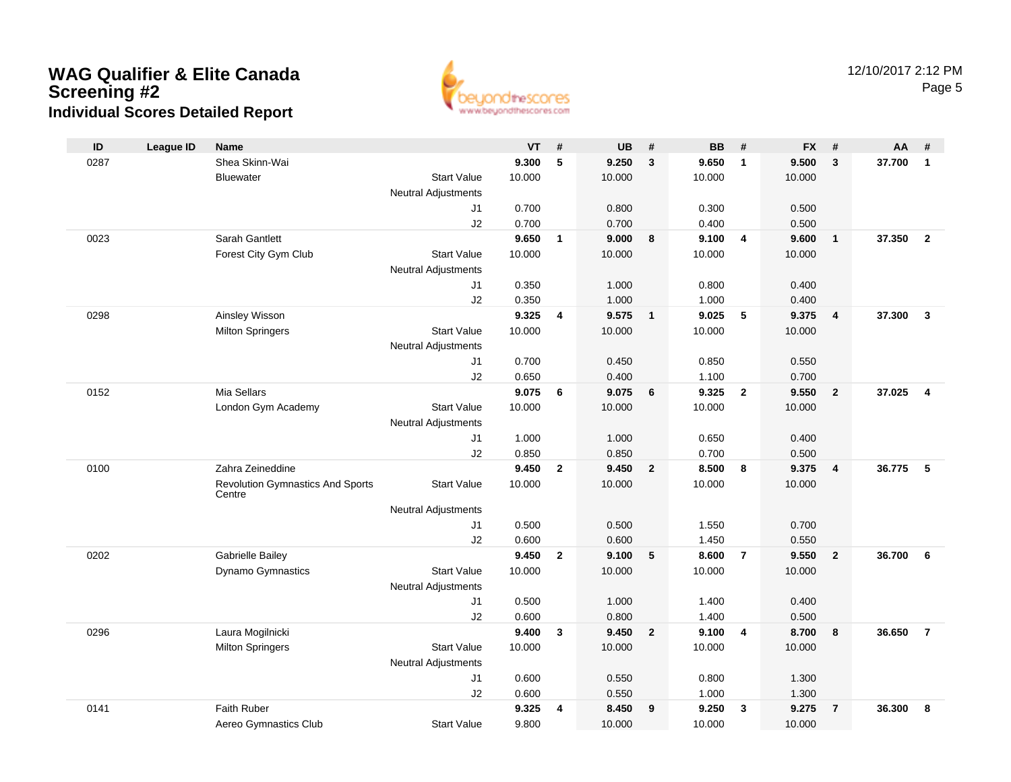

| ID   | <b>League ID</b> | <b>Name</b>                             |                            | <b>VT</b>      | #                       | <b>UB</b>      | #              | <b>BB</b>      | #                       | <b>FX</b>      | #              | AA     | #                       |
|------|------------------|-----------------------------------------|----------------------------|----------------|-------------------------|----------------|----------------|----------------|-------------------------|----------------|----------------|--------|-------------------------|
| 0287 |                  | Shea Skinn-Wai                          |                            | 9.300          | 5                       | 9.250          | $\mathbf{3}$   | 9.650          | $\overline{1}$          | 9.500          | 3              | 37.700 | $\mathbf{1}$            |
|      |                  | Bluewater                               | <b>Start Value</b>         | 10.000         |                         | 10.000         |                | 10.000         |                         | 10.000         |                |        |                         |
|      |                  |                                         | Neutral Adjustments        |                |                         |                |                |                |                         |                |                |        |                         |
|      |                  |                                         | J1                         | 0.700          |                         | 0.800          |                | 0.300          |                         | 0.500          |                |        |                         |
|      |                  |                                         | J2                         | 0.700          |                         | 0.700          |                | 0.400          |                         | 0.500          |                |        |                         |
| 0023 |                  | Sarah Gantlett                          |                            | 9.650          | $\mathbf{1}$            | 9.000          | 8              | 9.100          | $\overline{4}$          | 9.600          | $\overline{1}$ | 37.350 | $\overline{2}$          |
|      |                  | Forest City Gym Club                    | <b>Start Value</b>         | 10.000         |                         | 10.000         |                | 10.000         |                         | 10.000         |                |        |                         |
|      |                  |                                         | <b>Neutral Adjustments</b> |                |                         |                |                |                |                         |                |                |        |                         |
|      |                  |                                         | J1                         | 0.350          |                         | 1.000          |                | 0.800          |                         | 0.400          |                |        |                         |
|      |                  |                                         | J2                         | 0.350<br>9.325 |                         | 1.000<br>9.575 |                | 1.000<br>9.025 | 5                       | 0.400<br>9.375 |                | 37.300 | $\overline{\mathbf{3}}$ |
| 0298 |                  | Ainsley Wisson                          | <b>Start Value</b>         | 10.000         | $\overline{\mathbf{4}}$ | 10.000         | $\overline{1}$ | 10.000         |                         |                | $\overline{4}$ |        |                         |
|      |                  | <b>Milton Springers</b>                 | <b>Neutral Adjustments</b> |                |                         |                |                |                |                         | 10.000         |                |        |                         |
|      |                  |                                         | J1                         | 0.700          |                         | 0.450          |                | 0.850          |                         | 0.550          |                |        |                         |
|      |                  |                                         | J2                         | 0.650          |                         | 0.400          |                | 1.100          |                         | 0.700          |                |        |                         |
| 0152 |                  | Mia Sellars                             |                            | 9.075          | 6                       | 9.075          | 6              | 9.325          | $\overline{2}$          | 9.550          | $\overline{2}$ | 37.025 | $\overline{\mathbf{4}}$ |
|      |                  | London Gym Academy                      | <b>Start Value</b>         | 10.000         |                         | 10.000         |                | 10.000         |                         | 10.000         |                |        |                         |
|      |                  |                                         | <b>Neutral Adjustments</b> |                |                         |                |                |                |                         |                |                |        |                         |
|      |                  |                                         | J1                         | 1.000          |                         | 1.000          |                | 0.650          |                         | 0.400          |                |        |                         |
|      |                  |                                         | J2                         | 0.850          |                         | 0.850          |                | 0.700          |                         | 0.500          |                |        |                         |
| 0100 |                  | Zahra Zeineddine                        |                            | 9.450          | $\mathbf{2}$            | 9.450          | $\overline{2}$ | 8.500          | 8                       | 9.375          | $\overline{4}$ | 36.775 | 5                       |
|      |                  | <b>Revolution Gymnastics And Sports</b> | <b>Start Value</b>         | 10.000         |                         | 10.000         |                | 10.000         |                         | 10.000         |                |        |                         |
|      |                  | Centre                                  |                            |                |                         |                |                |                |                         |                |                |        |                         |
|      |                  |                                         | Neutral Adjustments        | 0.500          |                         | 0.500          |                |                |                         | 0.700          |                |        |                         |
|      |                  |                                         | J1<br>J2                   | 0.600          |                         | 0.600          |                | 1.550<br>1.450 |                         | 0.550          |                |        |                         |
| 0202 |                  | <b>Gabrielle Bailey</b>                 |                            | 9.450          | $\mathbf{2}$            | 9.100          | 5              | 8.600          | $\overline{7}$          | 9.550          | $\overline{2}$ | 36.700 | 6                       |
|      |                  | Dynamo Gymnastics                       | <b>Start Value</b>         | 10.000         |                         | 10.000         |                | 10.000         |                         | 10.000         |                |        |                         |
|      |                  |                                         | <b>Neutral Adjustments</b> |                |                         |                |                |                |                         |                |                |        |                         |
|      |                  |                                         | J1                         | 0.500          |                         | 1.000          |                | 1.400          |                         | 0.400          |                |        |                         |
|      |                  |                                         | J2                         | 0.600          |                         | 0.800          |                | 1.400          |                         | 0.500          |                |        |                         |
| 0296 |                  | Laura Mogilnicki                        |                            | 9.400          | 3                       | 9.450          | $\mathbf{2}$   | 9.100          | $\overline{\mathbf{4}}$ | 8.700          | 8              | 36.650 | $\overline{7}$          |
|      |                  | <b>Milton Springers</b>                 | <b>Start Value</b>         | 10.000         |                         | 10.000         |                | 10.000         |                         | 10.000         |                |        |                         |
|      |                  |                                         | Neutral Adjustments        |                |                         |                |                |                |                         |                |                |        |                         |
|      |                  |                                         | J1                         | 0.600          |                         | 0.550          |                | 0.800          |                         | 1.300          |                |        |                         |
|      |                  |                                         | J2                         | 0.600          |                         | 0.550          |                | 1.000          |                         | 1.300          |                |        |                         |
| 0141 |                  | Faith Ruber                             |                            | 9.325          | 4                       | 8.450          | 9              | 9.250          | $\mathbf{3}$            | 9.275          | $\overline{7}$ | 36.300 | 8                       |
|      |                  | Aereo Gymnastics Club                   | <b>Start Value</b>         | 9.800          |                         | 10.000         |                | 10.000         |                         | 10.000         |                |        |                         |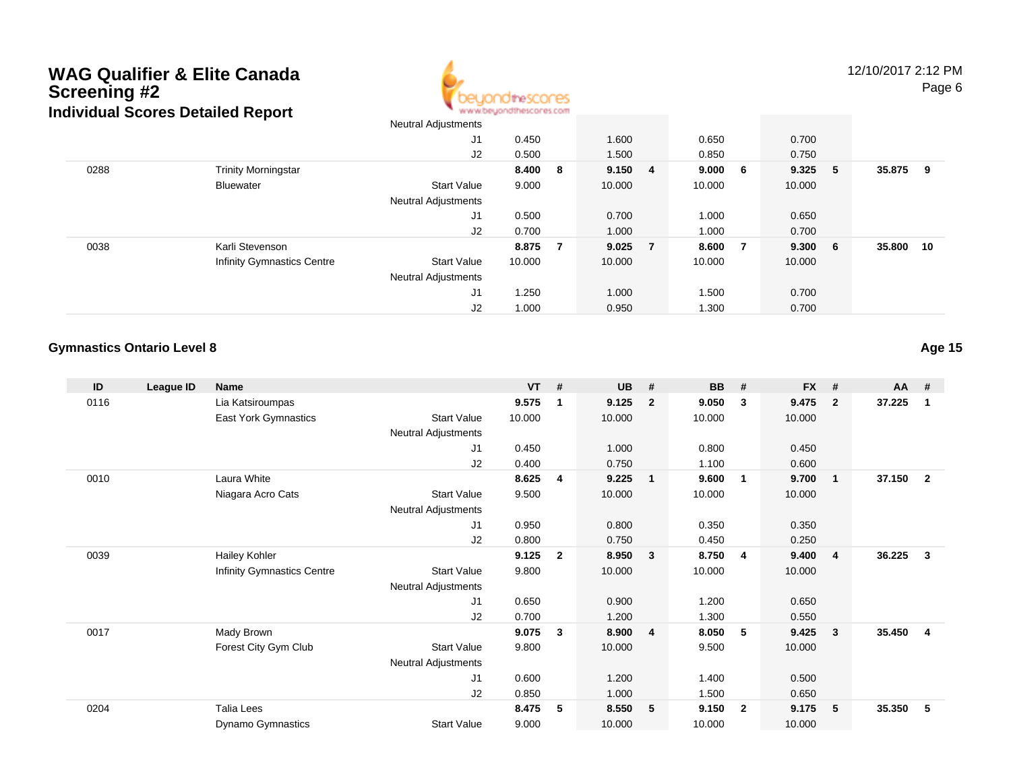

12/10/2017 2:12 PMPage 6

|      |                                   | Neutral Adjustments        |        |                |           |         |        |     |        |    |
|------|-----------------------------------|----------------------------|--------|----------------|-----------|---------|--------|-----|--------|----|
|      |                                   | J1                         | 0.450  |                | 1.600     | 0.650   | 0.700  |     |        |    |
|      |                                   | J2                         | 0.500  |                | 1.500     | 0.850   | 0.750  |     |        |    |
| 0288 | <b>Trinity Morningstar</b>        |                            | 8.400  | $_{\rm 8}$     | 9.150 4   | 9.000 6 | 9.325  | 5   | 35.875 | 9  |
|      | <b>Bluewater</b>                  | <b>Start Value</b>         | 9.000  |                | 10.000    | 10.000  | 10.000 |     |        |    |
|      |                                   | <b>Neutral Adjustments</b> |        |                |           |         |        |     |        |    |
|      |                                   | J1                         | 0.500  |                | 0.700     | 1.000   | 0.650  |     |        |    |
|      |                                   | J2                         | 0.700  |                | 1.000     | 1.000   | 0.700  |     |        |    |
| 0038 | Karli Stevenson                   |                            | 8.875  | $\overline{7}$ | $9.025$ 7 | 8.600 7 | 9.300  | - 6 | 35.800 | 10 |
|      | <b>Infinity Gymnastics Centre</b> | <b>Start Value</b>         | 10.000 |                | 10.000    | 10.000  | 10.000 |     |        |    |
|      |                                   | <b>Neutral Adjustments</b> |        |                |           |         |        |     |        |    |
|      |                                   | J <sub>1</sub>             | 1.250  |                | 1.000     | 1.500   | 0.700  |     |        |    |
|      |                                   | J2                         | 1.000  |                | 0.950     | 1.300   | 0.700  |     |        |    |

## **Gymnastics Ontario Level 8**

**Age 15**

| ID   | League ID | <b>Name</b>                |                     | <b>VT</b> | #            | <b>UB</b> | #                       | <b>BB</b> | #              | <b>FX</b> | #              | AA #   |                |
|------|-----------|----------------------------|---------------------|-----------|--------------|-----------|-------------------------|-----------|----------------|-----------|----------------|--------|----------------|
| 0116 |           | Lia Katsiroumpas           |                     | 9.575     |              | 9.125     | $\overline{2}$          | 9.050     | 3              | 9.475     | $\overline{2}$ | 37.225 | 1              |
|      |           | East York Gymnastics       | <b>Start Value</b>  | 10.000    |              | 10.000    |                         | 10.000    |                | 10.000    |                |        |                |
|      |           |                            | Neutral Adjustments |           |              |           |                         |           |                |           |                |        |                |
|      |           |                            | J1                  | 0.450     |              | 1.000     |                         | 0.800     |                | 0.450     |                |        |                |
|      |           |                            | J2                  | 0.400     |              | 0.750     |                         | 1.100     |                | 0.600     |                |        |                |
| 0010 |           | Laura White                |                     | 8.625     | 4            | 9.225     | $\overline{\mathbf{1}}$ | 9.600     | $\mathbf{1}$   | 9.700     | $\mathbf 1$    | 37.150 | $\overline{2}$ |
|      |           | Niagara Acro Cats          | <b>Start Value</b>  | 9.500     |              | 10.000    |                         | 10.000    |                | 10.000    |                |        |                |
|      |           |                            | Neutral Adjustments |           |              |           |                         |           |                |           |                |        |                |
|      |           |                            | J1                  | 0.950     |              | 0.800     |                         | 0.350     |                | 0.350     |                |        |                |
|      |           |                            | J2                  | 0.800     |              | 0.750     |                         | 0.450     |                | 0.250     |                |        |                |
| 0039 |           | <b>Hailey Kohler</b>       |                     | 9.125     | $\mathbf{2}$ | 8.950     | $\overline{\mathbf{3}}$ | 8.750     | -4             | 9.400     | $\overline{4}$ | 36.225 | 3              |
|      |           | Infinity Gymnastics Centre | <b>Start Value</b>  | 9.800     |              | 10.000    |                         | 10.000    |                | 10.000    |                |        |                |
|      |           |                            | Neutral Adjustments |           |              |           |                         |           |                |           |                |        |                |
|      |           |                            | J1                  | 0.650     |              | 0.900     |                         | 1.200     |                | 0.650     |                |        |                |
|      |           |                            | J <sub>2</sub>      | 0.700     |              | 1.200     |                         | 1.300     |                | 0.550     |                |        |                |
| 0017 |           | Mady Brown                 |                     | 9.075     | 3            | 8.900     | $\overline{4}$          | 8.050     | -5             | 9.425     | 3              | 35.450 | $\overline{4}$ |
|      |           | Forest City Gym Club       | <b>Start Value</b>  | 9.800     |              | 10.000    |                         | 9.500     |                | 10.000    |                |        |                |
|      |           |                            | Neutral Adjustments |           |              |           |                         |           |                |           |                |        |                |
|      |           |                            | J1                  | 0.600     |              | 1.200     |                         | 1.400     |                | 0.500     |                |        |                |
|      |           |                            | J <sub>2</sub>      | 0.850     |              | 1.000     |                         | 1.500     |                | 0.650     |                |        |                |
| 0204 |           | Talia Lees                 |                     | 8.475     | 5            | 8.550     | $-5$                    | 9.150     | $\overline{2}$ | 9.175     | 5              | 35.350 | 5              |
|      |           | Dynamo Gymnastics          | Start Value         | 9.000     |              | 10.000    |                         | 10.000    |                | 10.000    |                |        |                |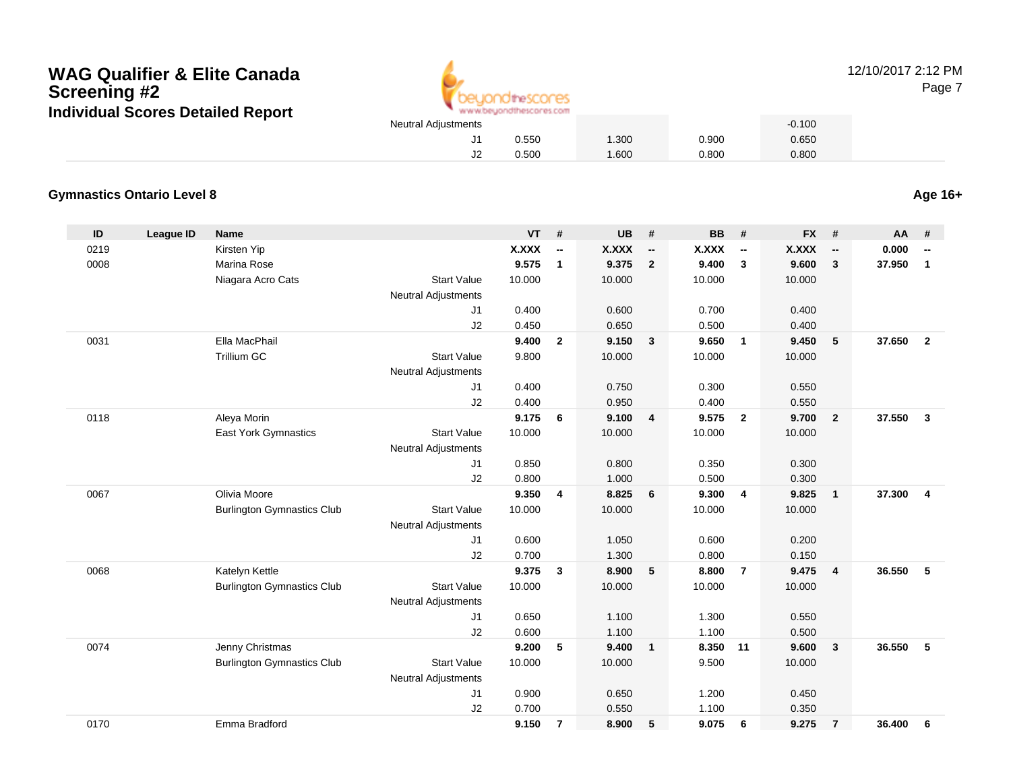

12/10/2017 2:12 PMPage 7

0.650

## **Gymnastics Ontario Level 8**

**Age 16+**

| ID   | <b>League ID</b> | <b>Name</b>                       |                            | <b>VT</b>    | #                        | <b>UB</b>    | #                        | <b>BB</b>    | #                        | <b>FX</b>    | #                        | AA     | #                        |
|------|------------------|-----------------------------------|----------------------------|--------------|--------------------------|--------------|--------------------------|--------------|--------------------------|--------------|--------------------------|--------|--------------------------|
| 0219 |                  | Kirsten Yip                       |                            | <b>X.XXX</b> | $\overline{\phantom{a}}$ | <b>X.XXX</b> | $\overline{\phantom{a}}$ | <b>X.XXX</b> | $\overline{\phantom{a}}$ | <b>X.XXX</b> | $\overline{\phantom{a}}$ | 0.000  | $\overline{\phantom{a}}$ |
| 0008 |                  | Marina Rose                       |                            | 9.575        | $\mathbf{1}$             | 9.375        | $\overline{2}$           | 9.400        | $\mathbf{3}$             | 9.600        | $\overline{\mathbf{3}}$  | 37.950 | $\mathbf{1}$             |
|      |                  | Niagara Acro Cats                 | <b>Start Value</b>         | 10.000       |                          | 10.000       |                          | 10.000       |                          | 10.000       |                          |        |                          |
|      |                  |                                   | <b>Neutral Adjustments</b> |              |                          |              |                          |              |                          |              |                          |        |                          |
|      |                  |                                   | J <sub>1</sub>             | 0.400        |                          | 0.600        |                          | 0.700        |                          | 0.400        |                          |        |                          |
|      |                  |                                   | J2                         | 0.450        |                          | 0.650        |                          | 0.500        |                          | 0.400        |                          |        |                          |
| 0031 |                  | Ella MacPhail                     |                            | 9.400        | $\overline{2}$           | 9.150        | $\mathbf{3}$             | 9.650        | $\overline{1}$           | 9.450        | 5                        | 37.650 | $\overline{2}$           |
|      |                  | <b>Trillium GC</b>                | <b>Start Value</b>         | 9.800        |                          | 10.000       |                          | 10.000       |                          | 10.000       |                          |        |                          |
|      |                  |                                   | <b>Neutral Adjustments</b> |              |                          |              |                          |              |                          |              |                          |        |                          |
|      |                  |                                   | J1                         | 0.400        |                          | 0.750        |                          | 0.300        |                          | 0.550        |                          |        |                          |
|      |                  |                                   | J2                         | 0.400        |                          | 0.950        |                          | 0.400        |                          | 0.550        |                          |        |                          |
| 0118 |                  | Aleya Morin                       |                            | 9.175        | 6                        | 9.100        | $\overline{4}$           | 9.575        | $\overline{2}$           | 9.700        | $\mathbf{2}$             | 37.550 | $\mathbf{3}$             |
|      |                  | East York Gymnastics              | <b>Start Value</b>         | 10.000       |                          | 10.000       |                          | 10.000       |                          | 10.000       |                          |        |                          |
|      |                  |                                   | Neutral Adjustments        |              |                          |              |                          |              |                          |              |                          |        |                          |
|      |                  |                                   | J1                         | 0.850        |                          | 0.800        |                          | 0.350        |                          | 0.300        |                          |        |                          |
|      |                  |                                   | J2                         | 0.800        |                          | 1.000        |                          | 0.500        |                          | 0.300        |                          |        |                          |
| 0067 |                  | Olivia Moore                      |                            | 9.350        | 4                        | 8.825        | 6                        | 9.300        | $\overline{4}$           | 9.825        | $\mathbf{1}$             | 37.300 | $\overline{4}$           |
|      |                  | <b>Burlington Gymnastics Club</b> | <b>Start Value</b>         | 10.000       |                          | 10.000       |                          | 10.000       |                          | 10.000       |                          |        |                          |
|      |                  |                                   | <b>Neutral Adjustments</b> |              |                          |              |                          |              |                          |              |                          |        |                          |
|      |                  |                                   | J1                         | 0.600        |                          | 1.050        |                          | 0.600        |                          | 0.200        |                          |        |                          |
|      |                  |                                   | J2                         | 0.700        |                          | 1.300        |                          | 0.800        |                          | 0.150        |                          |        |                          |
| 0068 |                  | Katelyn Kettle                    |                            | 9.375        | $\mathbf{3}$             | 8.900        | 5                        | 8.800        | $\overline{7}$           | 9.475        | $\overline{4}$           | 36.550 | -5                       |
|      |                  | <b>Burlington Gymnastics Club</b> | <b>Start Value</b>         | 10.000       |                          | 10.000       |                          | 10.000       |                          | 10.000       |                          |        |                          |
|      |                  |                                   | <b>Neutral Adjustments</b> |              |                          |              |                          |              |                          |              |                          |        |                          |
|      |                  |                                   | J1                         | 0.650        |                          | 1.100        |                          | 1.300        |                          | 0.550        |                          |        |                          |
|      |                  |                                   | J2                         | 0.600        |                          | 1.100        |                          | 1.100        |                          | 0.500        |                          |        |                          |
| 0074 |                  | Jenny Christmas                   |                            | 9.200        | 5                        | 9.400        | $\overline{\mathbf{1}}$  | 8.350        | 11                       | 9.600        | $\mathbf{3}$             | 36.550 | -5                       |
|      |                  | <b>Burlington Gymnastics Club</b> | <b>Start Value</b>         | 10.000       |                          | 10.000       |                          | 9.500        |                          | 10.000       |                          |        |                          |
|      |                  |                                   | <b>Neutral Adjustments</b> |              |                          |              |                          |              |                          |              |                          |        |                          |
|      |                  |                                   | J1                         | 0.900        |                          | 0.650        |                          | 1.200        |                          | 0.450        |                          |        |                          |
|      |                  |                                   | J2                         | 0.700        |                          | 0.550        |                          | 1.100        |                          | 0.350        |                          |        |                          |
| 0170 |                  | Emma Bradford                     |                            | 9.150        | $\overline{7}$           | 8.900        | 5                        | 9.075        | 6                        | 9.275        | $\overline{7}$           | 36.400 | 6                        |